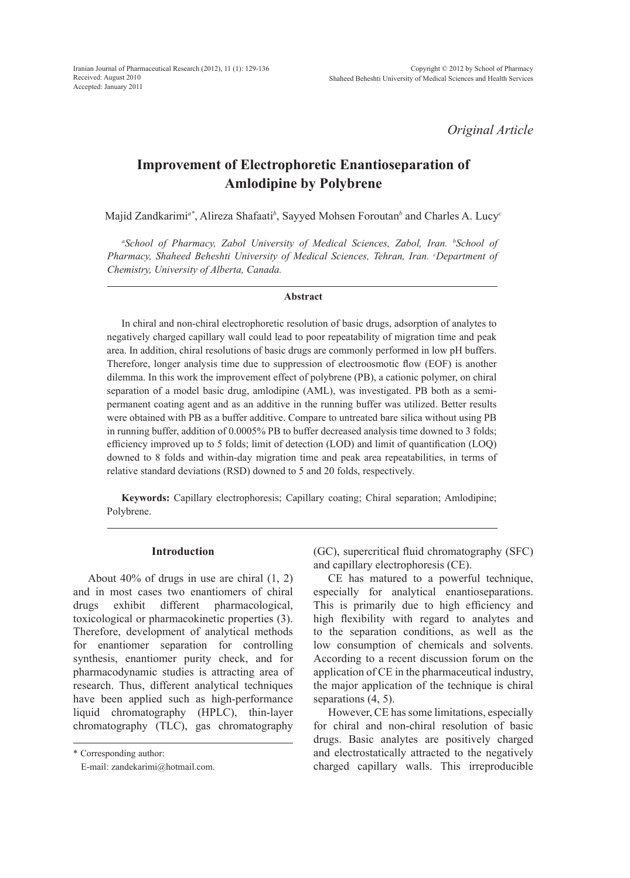*Original Article*

# **Improvement of Electrophoretic Enantioseparation of Amlodipine by Polybrene**

Majid Zandkarimi*a\**, Alireza Shafaati*<sup>b</sup>* , Sayyed Mohsen Foroutan*<sup>b</sup>* and Charles A. Lucy*<sup>c</sup>*

*a School of Pharmacy, Zabol University of Medical Sciences, Zabol, Iran. b School of Pharmacy, Shaheed Beheshti University of Medical Sciences, Tehran, Iran. c Department of Chemistry, University of Alberta, Canada.* 

#### **Abstract**

In chiral and non-chiral electrophoretic resolution of basic drugs, adsorption of analytes to negatively charged capillary wall could lead to poor repeatability of migration time and peak area. In addition, chiral resolutions of basic drugs are commonly performed in low pH buffers. Therefore, longer analysis time due to suppression of electroosmotic flow (EOF) is another dilemma. In this work the improvement effect of polybrene (PB), a cationic polymer, on chiral separation of a model basic drug, amlodipine (AML), was investigated. PB both as a semipermanent coating agent and as an additive in the running buffer was utilized. Better results were obtained with PB as a buffer additive. Compare to untreated bare silica without using PB in running buffer, addition of 0.0005% PB to buffer decreased analysis time downed to 3 folds; efficiency improved up to 5 folds; limit of detection (LOD) and limit of quantification (LOQ) downed to 8 folds and within-day migration time and peak area repeatabilities, in terms of relative standard deviations (RSD) downed to 5 and 20 folds, respectively.

**Keywords:** Capillary electrophoresis; Capillary coating; Chiral separation; Amlodipine; Polybrene.

# **Introduction**

About 40% of drugs in use are chiral (1, 2) and in most cases two enantiomers of chiral drugs exhibit different pharmacological, toxicological or pharmacokinetic properties (3). Therefore, development of analytical methods for enantiomer separation for controlling synthesis, enantiomer purity check, and for pharmacodynamic studies is attracting area of research. Thus, different analytical techniques have been applied such as high-performance liquid chromatography (HPLC), thin-layer chromatography (TLC), gas chromatography

\* Corresponding author:

E-mail: zandekarimi@hotmail.com.

(GC), supercritical fluid chromatography (SFC) and capillary electrophoresis (CE).

CE has matured to a powerful technique, especially for analytical enantioseparations. This is primarily due to high efficiency and high flexibility with regard to analytes and to the separation conditions, as well as the low consumption of chemicals and solvents. According to a recent discussion forum on the application of CE in the pharmaceutical industry, the major application of the technique is chiral separations (4, 5).

However, CE has some limitations, especially for chiral and non-chiral resolution of basic drugs. Basic analytes are positively charged and electrostatically attracted to the negatively charged capillary walls. This irreproducible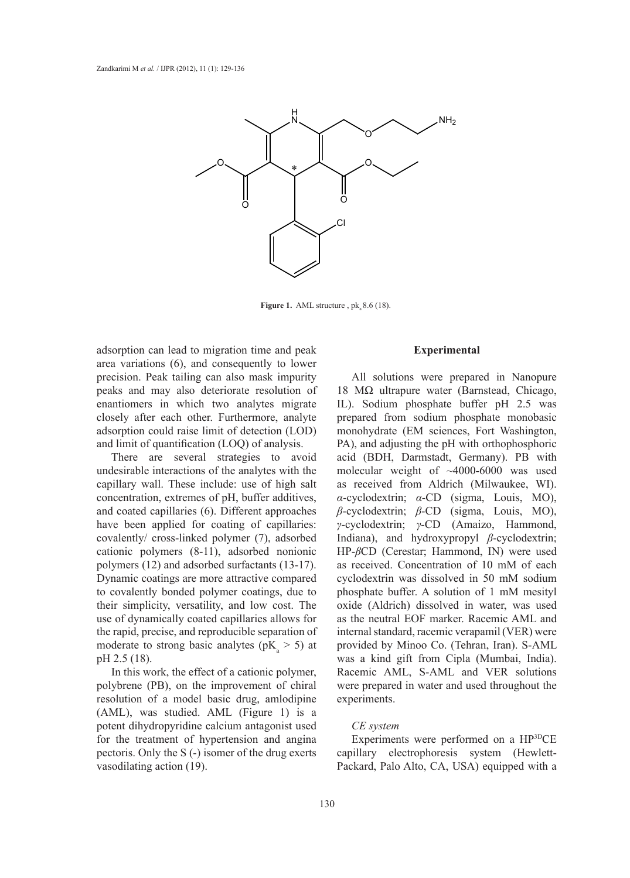

**Figure 1.** AML structure,  $pk_a 8.6$  (18).

adsorption can lead to migration time and peak area variations (6), and consequently to lower precision. Peak tailing can also mask impurity peaks and may also deteriorate resolution of enantiomers in which two analytes migrate closely after each other. Furthermore, analyte adsorption could raise limit of detection (LOD) and limit of quantification (LOQ) of analysis.

There are several strategies to avoid undesirable interactions of the analytes with the capillary wall. These include: use of high salt concentration, extremes of pH, buffer additives, and coated capillaries (6). Different approaches have been applied for coating of capillaries: covalently/ cross-linked polymer (7), adsorbed cationic polymers (8-11), adsorbed nonionic polymers (12) and adsorbed surfactants (13-17). Dynamic coatings are more attractive compared to covalently bonded polymer coatings, due to their simplicity, versatility, and low cost. The use of dynamically coated capillaries allows for the rapid, precise, and reproducible separation of moderate to strong basic analytes ( $pK_a > 5$ ) at pH 2.5 (18).

In this work, the effect of a cationic polymer, polybrene (PB), on the improvement of chiral resolution of a model basic drug, amlodipine (AML), was studied. AML (Figure 1) is a potent dihydropyridine calcium antagonist used for the treatment of hypertension and angina pectoris. Only the S (-) isomer of the drug exerts vasodilating action (19).

# **Experimental**

All solutions were prepared in Nanopure 18 MΩ ultrapure water (Barnstead, Chicago, IL). Sodium phosphate buffer pH 2.5 was prepared from sodium phosphate monobasic monohydrate (EM sciences, Fort Washington, PA), and adjusting the pH with orthophosphoric acid (BDH, Darmstadt, Germany). PB with molecular weight of ~4000-6000 was used as received from Aldrich (Milwaukee, WI). *α*-cyclodextrin; *α*-CD (sigma, Louis, MO), *β*-cyclodextrin; *β*-CD (sigma, Louis, MO), *γ*-cyclodextrin; *γ*-CD (Amaizo, Hammond, Indiana), and hydroxypropyl *β*-cyclodextrin; HP-*β*CD (Cerestar; Hammond, IN) were used as received. Concentration of 10 mM of each cyclodextrin was dissolved in 50 mM sodium phosphate buffer. A solution of 1 mM mesityl oxide (Aldrich) dissolved in water, was used as the neutral EOF marker. Racemic AML and internal standard, racemic verapamil (VER) were provided by Minoo Co. (Tehran, Iran). S-AML was a kind gift from Cipla (Mumbai, India). Racemic AML, S-AML and VER solutions were prepared in water and used throughout the experiments.

## *CE system*

Experiments were performed on a HP3DCE capillary electrophoresis system (Hewlett-Packard, Palo Alto, CA, USA) equipped with a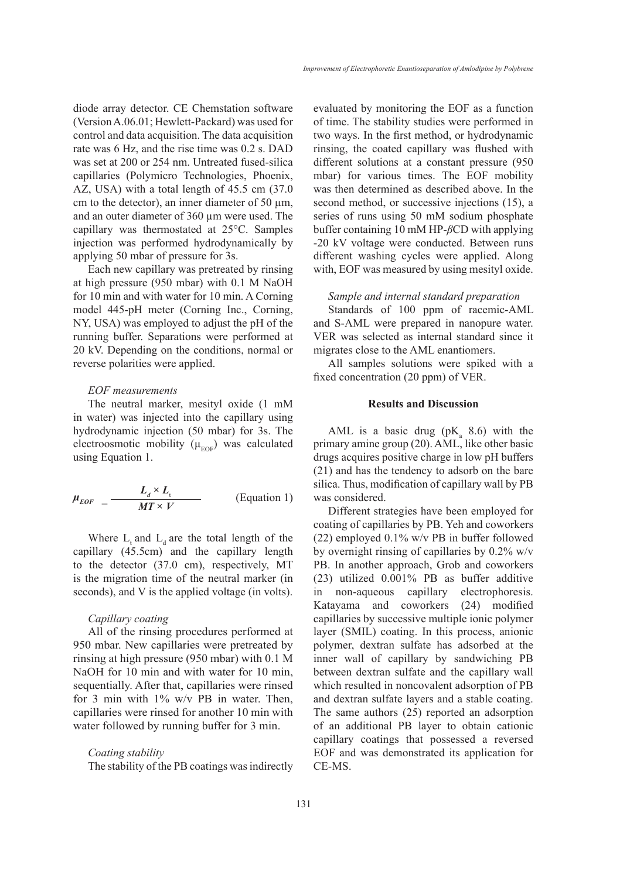diode array detector. CE Chemstation software (Version A.06.01; Hewlett-Packard) was used for control and data acquisition. The data acquisition rate was 6 Hz, and the rise time was 0.2 s. DAD was set at 200 or 254 nm. Untreated fused-silica capillaries (Polymicro Technologies, Phoenix, AZ, USA) with a total length of 45.5 cm (37.0 cm to the detector), an inner diameter of 50  $\mu$ m, and an outer diameter of 360 µm were used. The capillary was thermostated at 25°C. Samples injection was performed hydrodynamically by applying 50 mbar of pressure for 3s.

Each new capillary was pretreated by rinsing at high pressure (950 mbar) with 0.1 M NaOH for 10 min and with water for 10 min. A Corning model 445-pH meter (Corning Inc., Corning, NY, USA) was employed to adjust the pH of the running buffer. Separations were performed at 20 kV. Depending on the conditions, normal or reverse polarities were applied.

#### *EOF measurements*

The neutral marker, mesityl oxide (1 mM in water) was injected into the capillary using hydrodynamic injection (50 mbar) for 3s. The electroosmotic mobility ( $\mu_{\text{EOF}}$ ) was calculated using Equation 1.

$$
\mu_{EOF} = \frac{L_d \times L_t}{MT \times V}
$$
 (Equation 1)

Where  $L_t$  and  $L_d$  are the total length of the capillary (45.5cm) and the capillary length to the detector (37.0 cm), respectively, MT is the migration time of the neutral marker (in seconds), and V is the applied voltage (in volts).

# *Capillary coating*

All of the rinsing procedures performed at 950 mbar. New capillaries were pretreated by rinsing at high pressure (950 mbar) with 0.1 M NaOH for 10 min and with water for 10 min, sequentially. After that, capillaries were rinsed for 3 min with 1% w/v PB in water. Then, capillaries were rinsed for another 10 min with water followed by running buffer for 3 min.

#### *Coating stability*

The stability of the PB coatings was indirectly

evaluated by monitoring the EOF as a function of time. The stability studies were performed in two ways. In the first method, or hydrodynamic rinsing, the coated capillary was flushed with different solutions at a constant pressure (950 mbar) for various times. The EOF mobility was then determined as described above. In the second method, or successive injections (15), a series of runs using 50 mM sodium phosphate buffer containing 10 mM HP-*β*CD with applying -20 kV voltage were conducted. Between runs different washing cycles were applied. Along with, EOF was measured by using mesityl oxide.

*Sample and internal standard preparation*

Standards of 100 ppm of racemic-AML and S-AML were prepared in nanopure water. VER was selected as internal standard since it migrates close to the AML enantiomers.

All samples solutions were spiked with a fixed concentration (20 ppm) of VER.

#### **Results and Discussion**

AML is a basic drug ( $pK_a$  8.6) with the primary amine group (20). AML, like other basic drugs acquires positive charge in low pH buffers (21) and has the tendency to adsorb on the bare silica. Thus, modification of capillary wall by PB was considered.

Different strategies have been employed for coating of capillaries by PB. Yeh and coworkers (22) employed 0.1% w/v PB in buffer followed by overnight rinsing of capillaries by 0.2% w/v PB. In another approach, Grob and coworkers (23) utilized 0.001% PB as buffer additive in non-aqueous capillary electrophoresis. Katayama and coworkers (24) modified capillaries by successive multiple ionic polymer layer (SMIL) coating. In this process, anionic polymer, dextran sulfate has adsorbed at the inner wall of capillary by sandwiching PB between dextran sulfate and the capillary wall which resulted in noncovalent adsorption of PB and dextran sulfate layers and a stable coating. The same authors (25) reported an adsorption of an additional PB layer to obtain cationic capillary coatings that possessed a reversed EOF and was demonstrated its application for CE-MS.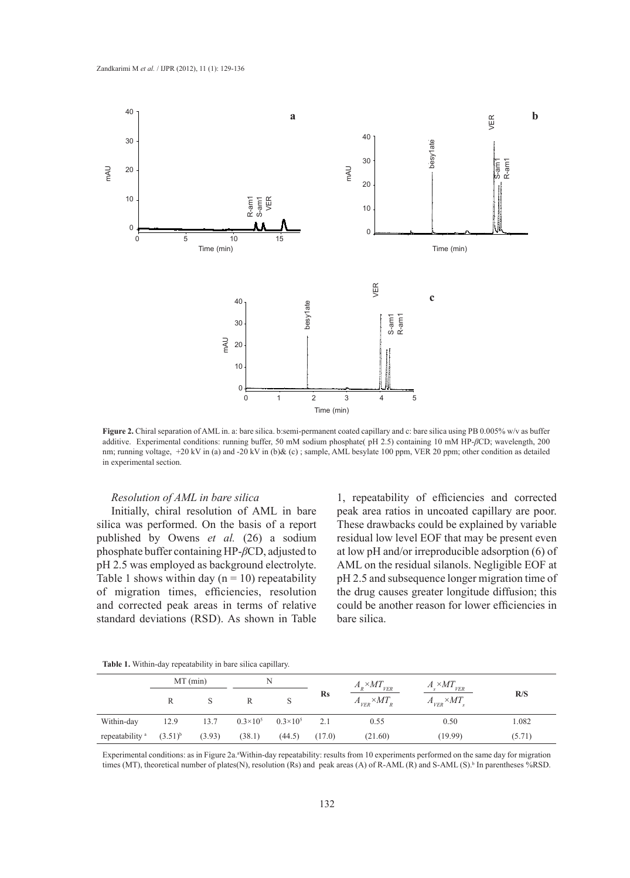

**Figure 2.** Chiral separation of AML in. a: bare silica. b:semi-permanent coated capillary and c: bare silica using PB 0.005% w/v as buffer additive. Experimental conditions: running buffer, 50 mM sodium phosphate( pH 2.5) containing 10 mM HP-*β*CD; wavelength, 200 nm; running voltage, +20 kV in (a) and -20 kV in (b)& (c); sample, AML besylate 100 ppm, VER 20 ppm; other condition as detailed in experimental section.

# *Resolution of AML in bare silica*

Initially, chiral resolution of AML in bare silica was performed. On the basis of a report published by Owens *et al.* (26) a sodium phosphate buffer containing HP-*β*CD, adjusted to pH 2.5 was employed as background electrolyte. Table 1 shows within day  $(n = 10)$  repeatability of migration times, efficiencies, resolution and corrected peak areas in terms of relative standard deviations (RSD). As shown in Table

1, repeatability of efficiencies and corrected peak area ratios in uncoated capillary are poor. These drawbacks could be explained by variable residual low level EOF that may be present even at low pH and/or irreproducible adsorption (6) of AML on the residual silanols. Negligible EOF at pH 2.5 and subsequence longer migration time of the drug causes greater longitude diffusion; this could be another reason for lower efficiencies in bare silica.

**Table 1.** Within-day repeatability in bare silica capillary.

|                            | $MT$ (min)   |        | N                 |                   |           | $A_{R} \times MT_{VER}$ | $A_{s} \times MT_{VER}$ |        |
|----------------------------|--------------|--------|-------------------|-------------------|-----------|-------------------------|-------------------------|--------|
|                            |              |        | R                 |                   | <b>Rs</b> | $A_{VER} \times MT_R$   | $A_{VER} \times MT_{s}$ | R/S    |
| Within-day                 | 12.9         | 13.7   | $0.3\times10^{5}$ | $0.3\times10^{5}$ | 2.1       | 0.55                    | 0.50                    | 1.082  |
| repeatability <sup>a</sup> | $(3.51)^{b}$ | (3.93) | (38.1)            | (44.5)            | (17.0)    | (21.60)                 | (19.99)                 | (5.71) |

Experimental conditions: as in Figure 2a.<sup>a</sup>Within-day repeatability: results from 10 experiments performed on the same day for migration times (MT), theoretical number of plates(N), resolution (Rs) and peak areas (A) of R-AML (R) and S-AML (S).<sup>b</sup> In parentheses %RSD.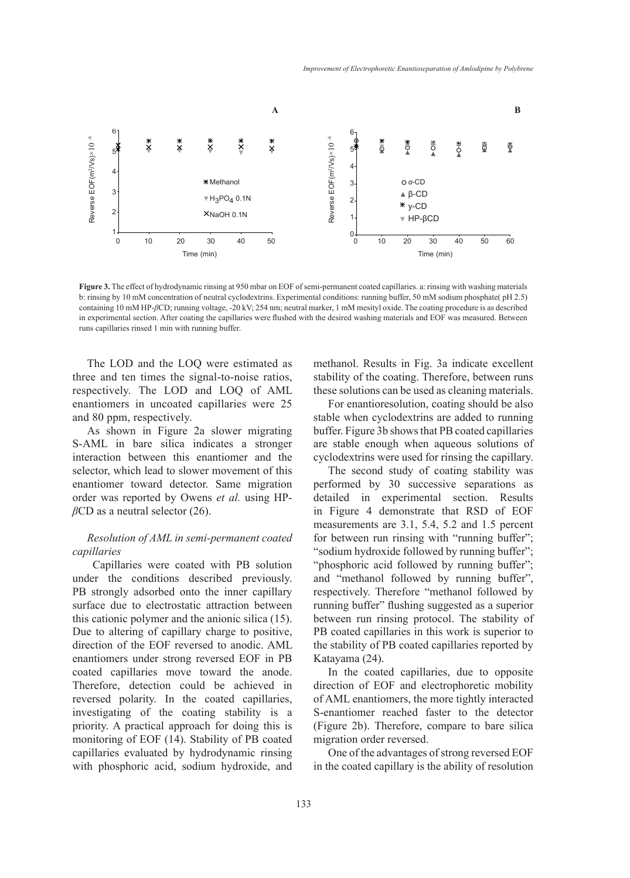

**Figure 3.** The effect of hydrodynamic rinsing at 950 mbar on EOF of semi-permanent coated capillaries. a: rinsing with washing materials b: rinsing by 10 mM concentration of neutral cyclodextrins. Experimental conditions: running buffer, 50 mM sodium phosphate( pH 2.5) containing 10 mM HP-*β*CD; running voltage, -20 kV; 254 nm; neutral marker, 1 mM mesityl oxide. The coating procedure is as described in experimental section. After coating the capillaries were flushed with the desired washing materials and EOF was measured. Between runs capillaries rinsed 1 min with running buffer.

The LOD and the LOQ were estimated as three and ten times the signal-to-noise ratios, respectively. The LOD and LOQ of AML enantiomers in uncoated capillaries were 25 and 80 ppm, respectively.

As shown in Figure 2a slower migrating S-AML in bare silica indicates a stronger interaction between this enantiomer and the selector, which lead to slower movement of this enantiomer toward detector. Same migration order was reported by Owens *et al.* using HP*β*CD as a neutral selector (26).

# *Resolution of AML in semi-permanent coated capillaries*

Capillaries were coated with PB solution under the conditions described previously. PB strongly adsorbed onto the inner capillary surface due to electrostatic attraction between this cationic polymer and the anionic silica (15). Due to altering of capillary charge to positive, direction of the EOF reversed to anodic. AML enantiomers under strong reversed EOF in PB coated capillaries move toward the anode. Therefore, detection could be achieved in reversed polarity. In the coated capillaries, investigating of the coating stability is a priority. A practical approach for doing this is monitoring of EOF (14). Stability of PB coated capillaries evaluated by hydrodynamic rinsing with phosphoric acid, sodium hydroxide, and methanol. Results in Fig. 3a indicate excellent stability of the coating. Therefore, between runs these solutions can be used as cleaning materials.

For enantioresolution, coating should be also stable when cyclodextrins are added to running buffer. Figure 3b shows that PB coated capillaries are stable enough when aqueous solutions of cyclodextrins were used for rinsing the capillary.

The second study of coating stability was performed by 30 successive separations as detailed in experimental section. Results in Figure 4 demonstrate that RSD of EOF measurements are 3.1, 5.4, 5.2 and 1.5 percent for between run rinsing with "running buffer"; "sodium hydroxide followed by running buffer"; "phosphoric acid followed by running buffer"; and "methanol followed by running buffer", respectively. Therefore "methanol followed by running buffer" flushing suggested as a superior between run rinsing protocol. The stability of PB coated capillaries in this work is superior to the stability of PB coated capillaries reported by Katayama (24).

In the coated capillaries, due to opposite direction of EOF and electrophoretic mobility of AML enantiomers, the more tightly interacted S-enantiomer reached faster to the detector (Figure 2b). Therefore, compare to bare silica migration order reversed.

One of the advantages of strong reversed EOF in the coated capillary is the ability of resolution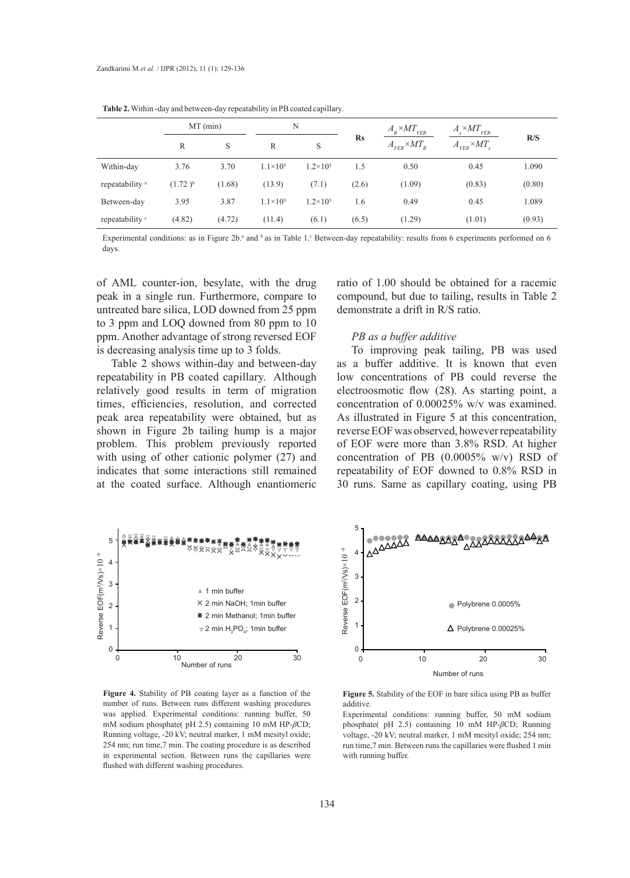|                            | $MT$ (min)   |        | N                   |                     |               | $A_{\rm R} \times MT_{VER}$ | $A_{s} \times MT_{VER}$ |        |
|----------------------------|--------------|--------|---------------------|---------------------|---------------|-----------------------------|-------------------------|--------|
|                            | R            | S      | R                   | S                   | $\mathbf{Rs}$ | $A_{VER} \times MT_R$       | $A_{VER} \times MT_s$   | R/S    |
| Within-day                 | 3.76         | 3.70   | $1.1 \times 10^{5}$ | $1.2 \times 10^5$   | 1.5           | 0.50                        | 0.45                    | 1.090  |
| repeatability <sup>a</sup> | $(1.72)^{b}$ | (1.68) | (13.9)              | (7.1)               | (2.6)         | (1.09)                      | (0.83)                  | (0.80) |
| Between-day                | 3.95         | 3.87   | $1.1 \times 10^{5}$ | $1.2 \times 10^{5}$ | 1.6           | 0.49                        | 0.45                    | 1.089  |
| repeatability <sup>c</sup> | (4.82)       | (4.72) | (11.4)              | (6.1)               | (6.5)         | (1.29)                      | (1.01)                  | (0.93) |

**Table 2.** Within -day and between-day repeatability in PB coated capillary.

Experimental conditions: as in Figure  $2b^a$  and  $^b$  as in Table 1. Between-day repeatability: results from 6 experiments performed on 6 days.

of AML counter-ion, besylate, with the drug peak in a single run. Furthermore, compare to untreated bare silica, LOD downed from 25 ppm to 3 ppm and LOQ downed from 80 ppm to 10 ppm. Another advantage of strong reversed EOF is decreasing analysis time up to 3 folds.

Table 2 shows within-day and between-day repeatability in PB coated capillary. Although relatively good results in term of migration times, efficiencies, resolution, and corrected peak area repeatability were obtained, but as shown in Figure 2b tailing hump is a major problem. This problem previously reported with using of other cationic polymer (27) and indicates that some interactions still remained at the coated surface. Although enantiomeric

ratio of 1.00 should be obtained for a racemic compound, but due to tailing, results in Table 2 demonstrate a drift in R/S ratio.

## *PB as a buffer additive*

To improving peak tailing, PB was used as a buffer additive. It is known that even low concentrations of PB could reverse the electroosmotic flow (28). As starting point, a concentration of 0.00025% w/v was examined. As illustrated in Figure 5 at this concentration, reverse EOF was observed, however repeatability of EOF were more than 3.8% RSD. At higher concentration of PB (0.0005% w/v) RSD of repeatability of EOF downed to 0.8% RSD in 30 runs. Same as capillary coating, using PB



**Figure 4.** Stability of PB coating layer as a function of the number of runs. Between runs different washing procedures was applied. Experimental conditions: running buffer, 50 mM sodium phosphate( pH 2.5) containing 10 mM HP-*β*CD; Running voltage, -20 kV; neutral marker, 1 mM mesityl oxide; 254 nm; run time,7 min. The coating procedure is as described in experimental section. Between runs the capillaries were flushed with different washing procedures.



**Figure 5.** Stability of the EOF in bare silica using PB as buffer additive.

Experimental conditions: running buffer, 50 mM sodium phosphate( pH 2.5) containing 10 mM HP-*β*CD; Running voltage, -20 kV; neutral marker, 1 mM mesityl oxide; 254 nm; run time,7 min. Between runs the capillaries were flushed 1 min with running buffer.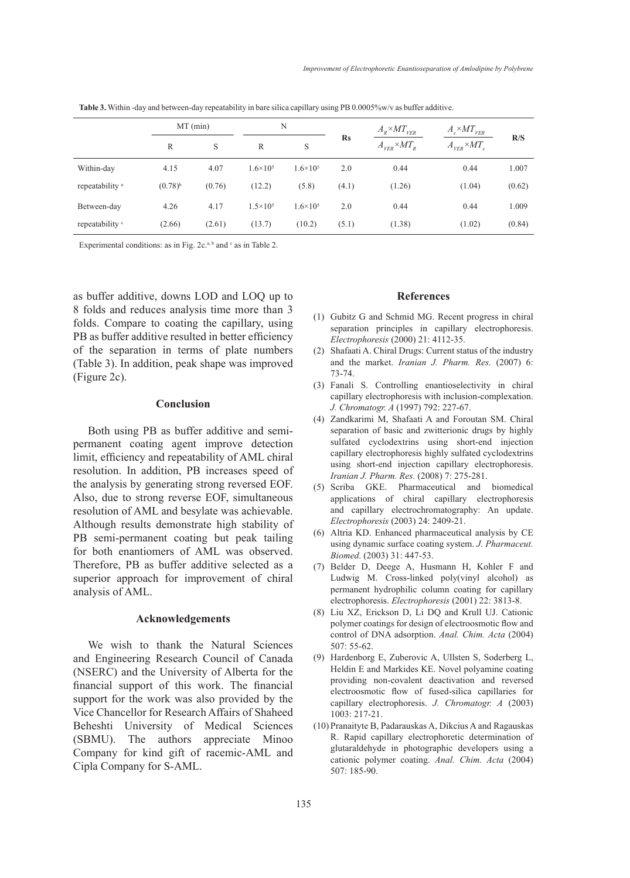|                            | MT (min)     |        | N                   |                     |               | $A_{\rm R} \times MT_{\rm VER}$ | $A_s \times MT_{VER}$ |        |
|----------------------------|--------------|--------|---------------------|---------------------|---------------|---------------------------------|-----------------------|--------|
|                            | R            | S      | R                   | S                   | $\mathbf{Rs}$ | $A_{\rm VER}{\times}M T_{_R}$   | $A_{VER} \times MT_s$ | R/S    |
| Within-day                 | 4.15         | 4.07   | $1.6 \times 10^{5}$ | $1.6 \times 10^{5}$ | 2.0           | 0.44                            | 0.44                  | 1.007  |
| repeatability <sup>a</sup> | $(0.78)^{b}$ | (0.76) | (12.2)              | (5.8)               | (4.1)         | (1.26)                          | (1.04)                | (0.62) |
| Between-day                | 4.26         | 4.17   | $1.5 \times 10^{5}$ | $1.6 \times 10^{5}$ | 2.0           | 0.44                            | 0.44                  | 1.009  |
| repeatability <sup>c</sup> | (2.66)       | (2.61) | (13.7)              | (10.2)              | (5.1)         | (1.38)                          | (1.02)                | (0.84) |

**Table 3.** Within -day and between-day repeatability in bare silica capillary using PB 0.0005%w/v as buffer additive.

Experimental conditions: as in Fig.  $2c^{a,b}$  and  $c$  as in Table 2.

as buffer additive, downs LOD and LOQ up to 8 folds and reduces analysis time more than 3 folds. Compare to coating the capillary, using PB as buffer additive resulted in better efficiency of the separation in terms of plate numbers (Table 3). In addition, peak shape was improved (Figure 2c).

## **Conclusion**

Both using PB as buffer additive and semipermanent coating agent improve detection limit, efficiency and repeatability of AML chiral resolution. In addition, PB increases speed of the analysis by generating strong reversed EOF. Also, due to strong reverse EOF, simultaneous resolution of AML and besylate was achievable. Although results demonstrate high stability of PB semi-permanent coating but peak tailing for both enantiomers of AML was observed. Therefore, PB as buffer additive selected as a superior approach for improvement of chiral analysis of AML.

## **Acknowledgements**

We wish to thank the Natural Sciences and Engineering Research Council of Canada (NSERC) and the University of Alberta for the financial support of this work. The financial support for the work was also provided by the Vice Chancellor for Research Affairs of Shaheed Beheshti University of Medical Sciences (SBMU). The authors appreciate Minoo Company for kind gift of racemic-AML and Cipla Company for S-AML.

## **References**

- (1) Gubitz G and Schmid MG. Recent progress in chiral separation principles in capillary electrophoresis. *Electrophoresis* (2000) 21: 4112-35.
- Shafaati A. Chiral Drugs: Current status of the industry (2) and the market. *Iranian J. Pharm. Res.* (2007) 6: 73-74.
- Fanali S. Controlling enantioselectivity in chiral (3) capillary electrophoresis with inclusion-complexation. *J. Chromatogr. A* (1997) 792: 227-67.
- Zandkarimi M, Shafaati A and Foroutan SM. Chiral (4) separation of basic and zwitterionic drugs by highly sulfated cyclodextrins using short-end injection capillary electrophoresis highly sulfated cyclodextrins using short-end injection capillary electrophoresis. *Iranian J. Pharm. Res.* (2008) 7: 275-281.
- (5) Scriba GKE. Pharmaceutical and biomedical applications of chiral capillary electrophoresis and capillary electrochromatography: An update. *Electrophoresis* (2003) 24: 2409-21.
- Altria KD. Enhanced pharmaceutical analysis by CE (6) using dynamic surface coating system. *J. Pharmaceut. Biomed*. (2003) 31: 447-53.
- Belder D, Deege A, Husmann H, Kohler F and (7) Ludwig M. Cross-linked poly(vinyl alcohol) as permanent hydrophilic column coating for capillary electrophoresis. *Electrophoresis* (2001) 22: 3813-8.
- Liu XZ, Erickson D, Li DQ and Krull UJ. Cationic (8) polymer coatings for design of electroosmotic flow and control of DNA adsorption. *Anal. Chim. Acta* (2004) 507: 55-62.
- (9) Hardenborg E, Zuberovic A, Ullsten S, Soderberg L, Heldin E and Markides KE. Novel polyamine coating providing non-covalent deactivation and reversed electroosmotic flow of fused-silica capillaries for capillary electrophoresis. *J. Chromatogr. A* (2003) 1003: 217-21.
- (10) Pranaityte B, Padarauskas A, Dikcius A and Ragauskas R. Rapid capillary electrophoretic determination of glutaraldehyde in photographic developers using a cationic polymer coating. *Anal. Chim. Acta* (2004) 507: 185-90.